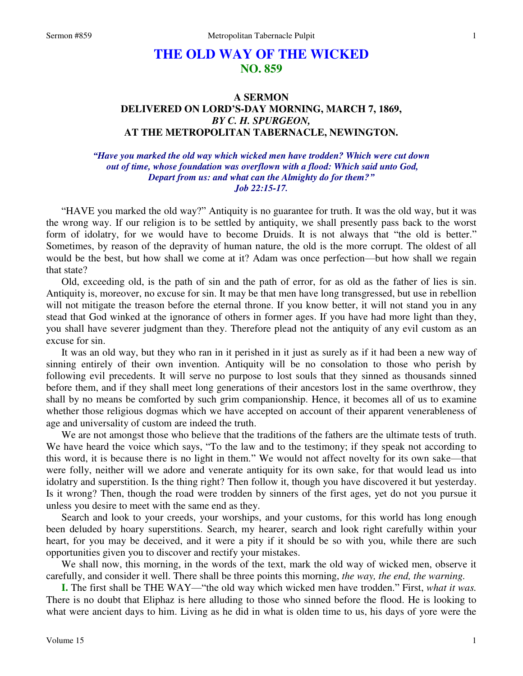# **THE OLD WAY OF THE WICKED NO. 859**

## **A SERMON DELIVERED ON LORD'S-DAY MORNING, MARCH 7, 1869,**  *BY C. H. SPURGEON,*  **AT THE METROPOLITAN TABERNACLE, NEWINGTON.**

### *"Have you marked the old way which wicked men have trodden? Which were cut down out of time, whose foundation was overflown with a flood: Which said unto God, Depart from us: and what can the Almighty do for them?" Job 22:15-17.*

"HAVE you marked the old way?" Antiquity is no guarantee for truth. It was the old way, but it was the wrong way. If our religion is to be settled by antiquity, we shall presently pass back to the worst form of idolatry, for we would have to become Druids. It is not always that "the old is better." Sometimes, by reason of the depravity of human nature, the old is the more corrupt. The oldest of all would be the best, but how shall we come at it? Adam was once perfection—but how shall we regain that state?

 Old, exceeding old, is the path of sin and the path of error, for as old as the father of lies is sin. Antiquity is, moreover, no excuse for sin. It may be that men have long transgressed, but use in rebellion will not mitigate the treason before the eternal throne. If you know better, it will not stand you in any stead that God winked at the ignorance of others in former ages. If you have had more light than they, you shall have severer judgment than they. Therefore plead not the antiquity of any evil custom as an excuse for sin.

 It was an old way, but they who ran in it perished in it just as surely as if it had been a new way of sinning entirely of their own invention. Antiquity will be no consolation to those who perish by following evil precedents. It will serve no purpose to lost souls that they sinned as thousands sinned before them, and if they shall meet long generations of their ancestors lost in the same overthrow, they shall by no means be comforted by such grim companionship. Hence, it becomes all of us to examine whether those religious dogmas which we have accepted on account of their apparent venerableness of age and universality of custom are indeed the truth.

 We are not amongst those who believe that the traditions of the fathers are the ultimate tests of truth. We have heard the voice which says, "To the law and to the testimony; if they speak not according to this word, it is because there is no light in them." We would not affect novelty for its own sake—that were folly, neither will we adore and venerate antiquity for its own sake, for that would lead us into idolatry and superstition. Is the thing right? Then follow it, though you have discovered it but yesterday. Is it wrong? Then, though the road were trodden by sinners of the first ages, yet do not you pursue it unless you desire to meet with the same end as they.

 Search and look to your creeds, your worships, and your customs, for this world has long enough been deluded by hoary superstitions. Search, my hearer, search and look right carefully within your heart, for you may be deceived, and it were a pity if it should be so with you, while there are such opportunities given you to discover and rectify your mistakes.

 We shall now, this morning, in the words of the text, mark the old way of wicked men, observe it carefully, and consider it well. There shall be three points this morning, *the way, the end, the warning.* 

**I.** The first shall be THE WAY—"the old way which wicked men have trodden." First, *what it was.*  There is no doubt that Eliphaz is here alluding to those who sinned before the flood. He is looking to what were ancient days to him. Living as he did in what is olden time to us, his days of yore were the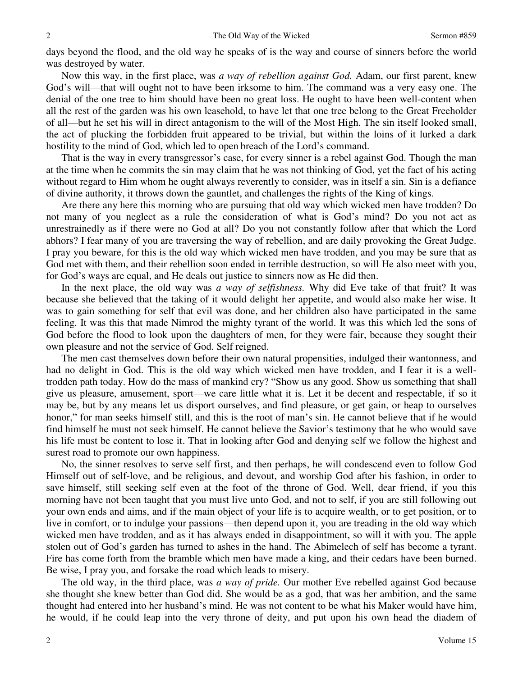days beyond the flood, and the old way he speaks of is the way and course of sinners before the world was destroyed by water.

 Now this way, in the first place, was *a way of rebellion against God.* Adam, our first parent, knew God's will—that will ought not to have been irksome to him. The command was a very easy one. The denial of the one tree to him should have been no great loss. He ought to have been well-content when all the rest of the garden was his own leasehold, to have let that one tree belong to the Great Freeholder of all—but he set his will in direct antagonism to the will of the Most High. The sin itself looked small, the act of plucking the forbidden fruit appeared to be trivial, but within the loins of it lurked a dark hostility to the mind of God, which led to open breach of the Lord's command.

 That is the way in every transgressor's case, for every sinner is a rebel against God. Though the man at the time when he commits the sin may claim that he was not thinking of God, yet the fact of his acting without regard to Him whom he ought always reverently to consider, was in itself a sin. Sin is a defiance of divine authority, it throws down the gauntlet, and challenges the rights of the King of kings.

 Are there any here this morning who are pursuing that old way which wicked men have trodden? Do not many of you neglect as a rule the consideration of what is God's mind? Do you not act as unrestrainedly as if there were no God at all? Do you not constantly follow after that which the Lord abhors? I fear many of you are traversing the way of rebellion, and are daily provoking the Great Judge. I pray you beware, for this is the old way which wicked men have trodden, and you may be sure that as God met with them, and their rebellion soon ended in terrible destruction, so will He also meet with you, for God's ways are equal, and He deals out justice to sinners now as He did then.

 In the next place, the old way was *a way of selfishness.* Why did Eve take of that fruit? It was because she believed that the taking of it would delight her appetite, and would also make her wise. It was to gain something for self that evil was done, and her children also have participated in the same feeling. It was this that made Nimrod the mighty tyrant of the world. It was this which led the sons of God before the flood to look upon the daughters of men, for they were fair, because they sought their own pleasure and not the service of God. Self reigned.

 The men cast themselves down before their own natural propensities, indulged their wantonness, and had no delight in God. This is the old way which wicked men have trodden, and I fear it is a welltrodden path today. How do the mass of mankind cry? "Show us any good. Show us something that shall give us pleasure, amusement, sport—we care little what it is. Let it be decent and respectable, if so it may be, but by any means let us disport ourselves, and find pleasure, or get gain, or heap to ourselves honor," for man seeks himself still, and this is the root of man's sin. He cannot believe that if he would find himself he must not seek himself. He cannot believe the Savior's testimony that he who would save his life must be content to lose it. That in looking after God and denying self we follow the highest and surest road to promote our own happiness.

 No, the sinner resolves to serve self first, and then perhaps, he will condescend even to follow God Himself out of self-love, and be religious, and devout, and worship God after his fashion, in order to save himself, still seeking self even at the foot of the throne of God. Well, dear friend, if you this morning have not been taught that you must live unto God, and not to self, if you are still following out your own ends and aims, and if the main object of your life is to acquire wealth, or to get position, or to live in comfort, or to indulge your passions—then depend upon it, you are treading in the old way which wicked men have trodden, and as it has always ended in disappointment, so will it with you. The apple stolen out of God's garden has turned to ashes in the hand. The Abimelech of self has become a tyrant. Fire has come forth from the bramble which men have made a king, and their cedars have been burned. Be wise, I pray you, and forsake the road which leads to misery.

 The old way, in the third place, was *a way of pride.* Our mother Eve rebelled against God because she thought she knew better than God did. She would be as a god, that was her ambition, and the same thought had entered into her husband's mind. He was not content to be what his Maker would have him, he would, if he could leap into the very throne of deity, and put upon his own head the diadem of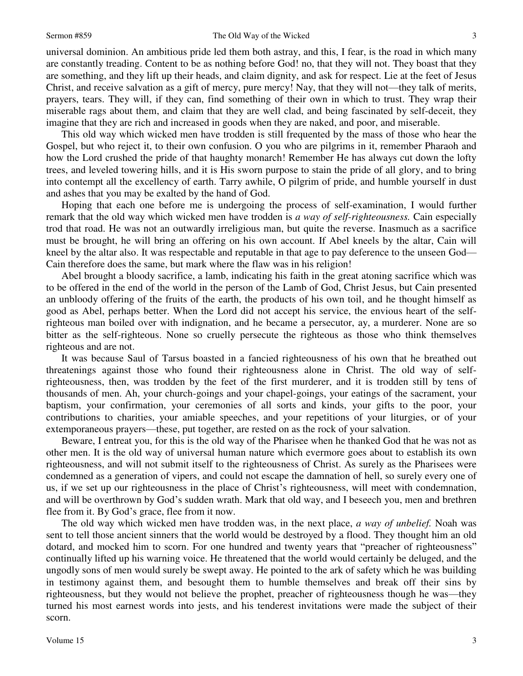universal dominion. An ambitious pride led them both astray, and this, I fear, is the road in which many are constantly treading. Content to be as nothing before God! no, that they will not. They boast that they are something, and they lift up their heads, and claim dignity, and ask for respect. Lie at the feet of Jesus Christ, and receive salvation as a gift of mercy, pure mercy! Nay, that they will not—they talk of merits, prayers, tears. They will, if they can, find something of their own in which to trust. They wrap their miserable rags about them, and claim that they are well clad, and being fascinated by self-deceit, they imagine that they are rich and increased in goods when they are naked, and poor, and miserable.

 This old way which wicked men have trodden is still frequented by the mass of those who hear the Gospel, but who reject it, to their own confusion. O you who are pilgrims in it, remember Pharaoh and how the Lord crushed the pride of that haughty monarch! Remember He has always cut down the lofty trees, and leveled towering hills, and it is His sworn purpose to stain the pride of all glory, and to bring into contempt all the excellency of earth. Tarry awhile, O pilgrim of pride, and humble yourself in dust and ashes that you may be exalted by the hand of God.

 Hoping that each one before me is undergoing the process of self-examination, I would further remark that the old way which wicked men have trodden is *a way of self-righteousness.* Cain especially trod that road. He was not an outwardly irreligious man, but quite the reverse. Inasmuch as a sacrifice must be brought, he will bring an offering on his own account. If Abel kneels by the altar, Cain will kneel by the altar also. It was respectable and reputable in that age to pay deference to the unseen God— Cain therefore does the same, but mark where the flaw was in his religion!

 Abel brought a bloody sacrifice, a lamb, indicating his faith in the great atoning sacrifice which was to be offered in the end of the world in the person of the Lamb of God, Christ Jesus, but Cain presented an unbloody offering of the fruits of the earth, the products of his own toil, and he thought himself as good as Abel, perhaps better. When the Lord did not accept his service, the envious heart of the selfrighteous man boiled over with indignation, and he became a persecutor, ay, a murderer. None are so bitter as the self-righteous. None so cruelly persecute the righteous as those who think themselves righteous and are not.

 It was because Saul of Tarsus boasted in a fancied righteousness of his own that he breathed out threatenings against those who found their righteousness alone in Christ. The old way of selfrighteousness, then, was trodden by the feet of the first murderer, and it is trodden still by tens of thousands of men. Ah, your church-goings and your chapel-goings, your eatings of the sacrament, your baptism, your confirmation, your ceremonies of all sorts and kinds, your gifts to the poor, your contributions to charities, your amiable speeches, and your repetitions of your liturgies, or of your extemporaneous prayers—these, put together, are rested on as the rock of your salvation.

 Beware, I entreat you, for this is the old way of the Pharisee when he thanked God that he was not as other men. It is the old way of universal human nature which evermore goes about to establish its own righteousness, and will not submit itself to the righteousness of Christ. As surely as the Pharisees were condemned as a generation of vipers, and could not escape the damnation of hell, so surely every one of us, if we set up our righteousness in the place of Christ's righteousness, will meet with condemnation, and will be overthrown by God's sudden wrath. Mark that old way, and I beseech you, men and brethren flee from it. By God's grace, flee from it now.

 The old way which wicked men have trodden was, in the next place, *a way of unbelief.* Noah was sent to tell those ancient sinners that the world would be destroyed by a flood. They thought him an old dotard, and mocked him to scorn. For one hundred and twenty years that "preacher of righteousness" continually lifted up his warning voice. He threatened that the world would certainly be deluged, and the ungodly sons of men would surely be swept away. He pointed to the ark of safety which he was building in testimony against them, and besought them to humble themselves and break off their sins by righteousness, but they would not believe the prophet, preacher of righteousness though he was—they turned his most earnest words into jests, and his tenderest invitations were made the subject of their scorn.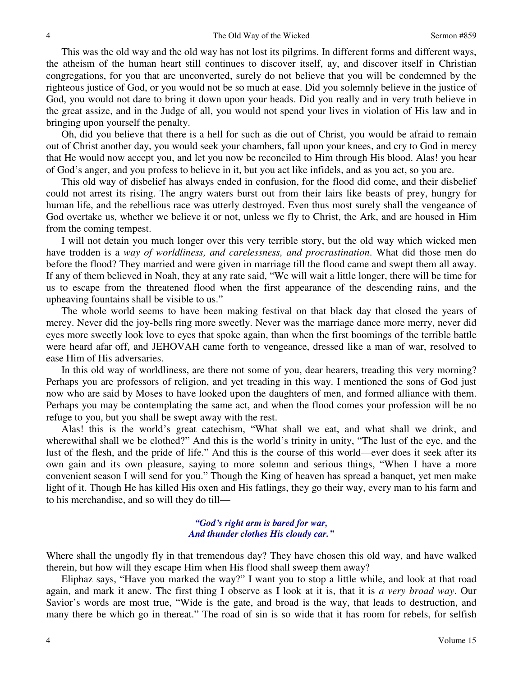This was the old way and the old way has not lost its pilgrims. In different forms and different ways, the atheism of the human heart still continues to discover itself, ay, and discover itself in Christian congregations, for you that are unconverted, surely do not believe that you will be condemned by the righteous justice of God, or you would not be so much at ease. Did you solemnly believe in the justice of God, you would not dare to bring it down upon your heads. Did you really and in very truth believe in the great assize, and in the Judge of all, you would not spend your lives in violation of His law and in bringing upon yourself the penalty.

 Oh, did you believe that there is a hell for such as die out of Christ, you would be afraid to remain out of Christ another day, you would seek your chambers, fall upon your knees, and cry to God in mercy that He would now accept you, and let you now be reconciled to Him through His blood. Alas! you hear of God's anger, and you profess to believe in it, but you act like infidels, and as you act, so you are.

 This old way of disbelief has always ended in confusion, for the flood did come, and their disbelief could not arrest its rising. The angry waters burst out from their lairs like beasts of prey, hungry for human life, and the rebellious race was utterly destroyed. Even thus most surely shall the vengeance of God overtake us, whether we believe it or not, unless we fly to Christ, the Ark, and are housed in Him from the coming tempest.

 I will not detain you much longer over this very terrible story, but the old way which wicked men have trodden is a *way of worldliness, and carelessness, and procrastination*. What did those men do before the flood? They married and were given in marriage till the flood came and swept them all away. If any of them believed in Noah, they at any rate said, "We will wait a little longer, there will be time for us to escape from the threatened flood when the first appearance of the descending rains, and the upheaving fountains shall be visible to us."

 The whole world seems to have been making festival on that black day that closed the years of mercy. Never did the joy-bells ring more sweetly. Never was the marriage dance more merry, never did eyes more sweetly look love to eyes that spoke again, than when the first boomings of the terrible battle were heard afar off, and JEHOVAH came forth to vengeance, dressed like a man of war, resolved to ease Him of His adversaries.

 In this old way of worldliness, are there not some of you, dear hearers, treading this very morning? Perhaps you are professors of religion, and yet treading in this way. I mentioned the sons of God just now who are said by Moses to have looked upon the daughters of men, and formed alliance with them. Perhaps you may be contemplating the same act, and when the flood comes your profession will be no refuge to you, but you shall be swept away with the rest.

 Alas! this is the world's great catechism, "What shall we eat, and what shall we drink, and wherewithal shall we be clothed?" And this is the world's trinity in unity, "The lust of the eye, and the lust of the flesh, and the pride of life." And this is the course of this world—ever does it seek after its own gain and its own pleasure, saying to more solemn and serious things, "When I have a more convenient season I will send for you." Though the King of heaven has spread a banquet, yet men make light of it. Though He has killed His oxen and His fatlings, they go their way, every man to his farm and to his merchandise, and so will they do till—

#### *"God's right arm is bared for war, And thunder clothes His cloudy car."*

Where shall the ungodly fly in that tremendous day? They have chosen this old way, and have walked therein, but how will they escape Him when His flood shall sweep them away?

 Eliphaz says, "Have you marked the way?" I want you to stop a little while, and look at that road again, and mark it anew. The first thing I observe as I look at it is, that it is *a very broad way*. Our Savior's words are most true, "Wide is the gate, and broad is the way, that leads to destruction, and many there be which go in thereat." The road of sin is so wide that it has room for rebels, for selfish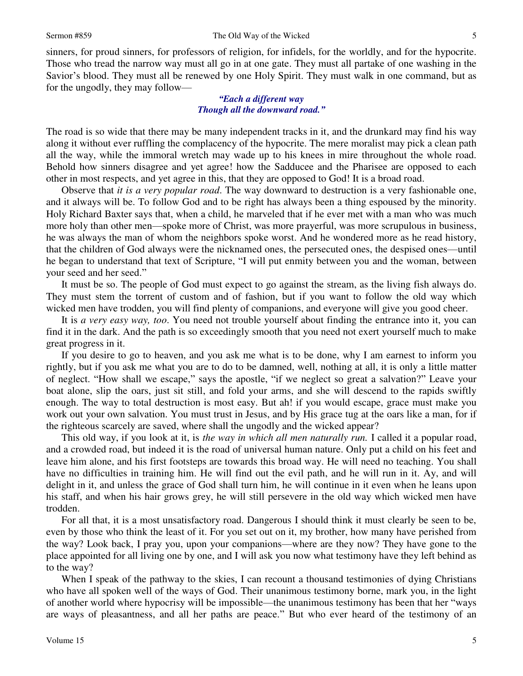sinners, for proud sinners, for professors of religion, for infidels, for the worldly, and for the hypocrite. Those who tread the narrow way must all go in at one gate. They must all partake of one washing in the Savior's blood. They must all be renewed by one Holy Spirit. They must walk in one command, but as for the ungodly, they may follow—

#### *"Each a different way Though all the downward road."*

The road is so wide that there may be many independent tracks in it, and the drunkard may find his way along it without ever ruffling the complacency of the hypocrite. The mere moralist may pick a clean path all the way, while the immoral wretch may wade up to his knees in mire throughout the whole road. Behold how sinners disagree and yet agree! how the Sadducee and the Pharisee are opposed to each other in most respects, and yet agree in this, that they are opposed to God! It is a broad road.

 Observe that *it is a very popular road*. The way downward to destruction is a very fashionable one, and it always will be. To follow God and to be right has always been a thing espoused by the minority. Holy Richard Baxter says that, when a child, he marveled that if he ever met with a man who was much more holy than other men—spoke more of Christ, was more prayerful, was more scrupulous in business, he was always the man of whom the neighbors spoke worst. And he wondered more as he read history, that the children of God always were the nicknamed ones, the persecuted ones, the despised ones—until he began to understand that text of Scripture, "I will put enmity between you and the woman, between your seed and her seed."

 It must be so. The people of God must expect to go against the stream, as the living fish always do. They must stem the torrent of custom and of fashion, but if you want to follow the old way which wicked men have trodden, you will find plenty of companions, and everyone will give you good cheer.

 It is *a very easy way, too*. You need not trouble yourself about finding the entrance into it, you can find it in the dark. And the path is so exceedingly smooth that you need not exert yourself much to make great progress in it.

 If you desire to go to heaven, and you ask me what is to be done, why I am earnest to inform you rightly, but if you ask me what you are to do to be damned, well, nothing at all, it is only a little matter of neglect. "How shall we escape," says the apostle, "if we neglect so great a salvation?" Leave your boat alone, slip the oars, just sit still, and fold your arms, and she will descend to the rapids swiftly enough. The way to total destruction is most easy. But ah! if you would escape, grace must make you work out your own salvation. You must trust in Jesus, and by His grace tug at the oars like a man, for if the righteous scarcely are saved, where shall the ungodly and the wicked appear?

 This old way, if you look at it, is *the way in which all men naturally run.* I called it a popular road, and a crowded road, but indeed it is the road of universal human nature. Only put a child on his feet and leave him alone, and his first footsteps are towards this broad way. He will need no teaching. You shall have no difficulties in training him. He will find out the evil path, and he will run in it. Ay, and will delight in it, and unless the grace of God shall turn him, he will continue in it even when he leans upon his staff, and when his hair grows grey, he will still persevere in the old way which wicked men have trodden.

 For all that, it is a most unsatisfactory road. Dangerous I should think it must clearly be seen to be, even by those who think the least of it. For you set out on it, my brother, how many have perished from the way? Look back, I pray you, upon your companions—where are they now? They have gone to the place appointed for all living one by one, and I will ask you now what testimony have they left behind as to the way?

When I speak of the pathway to the skies, I can recount a thousand testimonies of dying Christians who have all spoken well of the ways of God. Their unanimous testimony borne, mark you, in the light of another world where hypocrisy will be impossible—the unanimous testimony has been that her "ways are ways of pleasantness, and all her paths are peace." But who ever heard of the testimony of an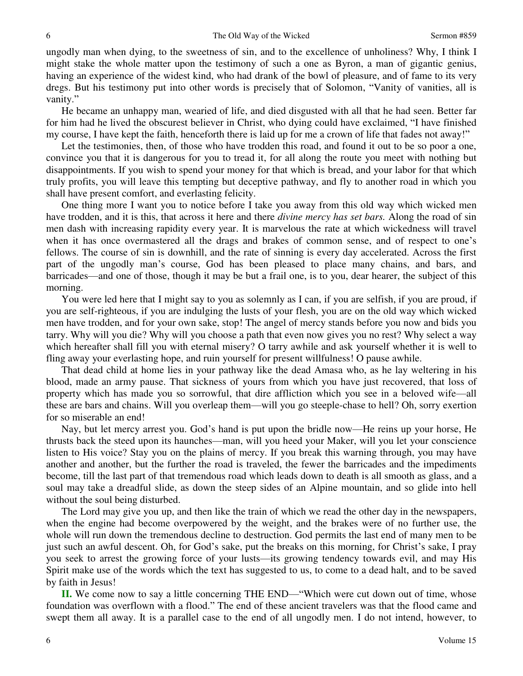ungodly man when dying, to the sweetness of sin, and to the excellence of unholiness? Why, I think I might stake the whole matter upon the testimony of such a one as Byron, a man of gigantic genius, having an experience of the widest kind, who had drank of the bowl of pleasure, and of fame to its very dregs. But his testimony put into other words is precisely that of Solomon, "Vanity of vanities, all is vanity."

 He became an unhappy man, wearied of life, and died disgusted with all that he had seen. Better far for him had he lived the obscurest believer in Christ, who dying could have exclaimed, "I have finished my course, I have kept the faith, henceforth there is laid up for me a crown of life that fades not away!"

Let the testimonies, then, of those who have trodden this road, and found it out to be so poor a one, convince you that it is dangerous for you to tread it, for all along the route you meet with nothing but disappointments. If you wish to spend your money for that which is bread, and your labor for that which truly profits, you will leave this tempting but deceptive pathway, and fly to another road in which you shall have present comfort, and everlasting felicity.

 One thing more I want you to notice before I take you away from this old way which wicked men have trodden, and it is this, that across it here and there *divine mercy has set bars.* Along the road of sin men dash with increasing rapidity every year. It is marvelous the rate at which wickedness will travel when it has once overmastered all the drags and brakes of common sense, and of respect to one's fellows. The course of sin is downhill, and the rate of sinning is every day accelerated. Across the first part of the ungodly man's course, God has been pleased to place many chains, and bars, and barricades—and one of those, though it may be but a frail one, is to you, dear hearer, the subject of this morning.

 You were led here that I might say to you as solemnly as I can, if you are selfish, if you are proud, if you are self-righteous, if you are indulging the lusts of your flesh, you are on the old way which wicked men have trodden, and for your own sake, stop! The angel of mercy stands before you now and bids you tarry. Why will you die? Why will you choose a path that even now gives you no rest? Why select a way which hereafter shall fill you with eternal misery? O tarry awhile and ask yourself whether it is well to fling away your everlasting hope, and ruin yourself for present willfulness! O pause awhile.

 That dead child at home lies in your pathway like the dead Amasa who, as he lay weltering in his blood, made an army pause. That sickness of yours from which you have just recovered, that loss of property which has made you so sorrowful, that dire affliction which you see in a beloved wife—all these are bars and chains. Will you overleap them—will you go steeple-chase to hell? Oh, sorry exertion for so miserable an end!

 Nay, but let mercy arrest you. God's hand is put upon the bridle now—He reins up your horse, He thrusts back the steed upon its haunches—man, will you heed your Maker, will you let your conscience listen to His voice? Stay you on the plains of mercy. If you break this warning through, you may have another and another, but the further the road is traveled, the fewer the barricades and the impediments become, till the last part of that tremendous road which leads down to death is all smooth as glass, and a soul may take a dreadful slide, as down the steep sides of an Alpine mountain, and so glide into hell without the soul being disturbed.

 The Lord may give you up, and then like the train of which we read the other day in the newspapers, when the engine had become overpowered by the weight, and the brakes were of no further use, the whole will run down the tremendous decline to destruction. God permits the last end of many men to be just such an awful descent. Oh, for God's sake, put the breaks on this morning, for Christ's sake, I pray you seek to arrest the growing force of your lusts—its growing tendency towards evil, and may His Spirit make use of the words which the text has suggested to us, to come to a dead halt, and to be saved by faith in Jesus!

**II.** We come now to say a little concerning THE END—"Which were cut down out of time, whose foundation was overflown with a flood." The end of these ancient travelers was that the flood came and swept them all away. It is a parallel case to the end of all ungodly men. I do not intend, however, to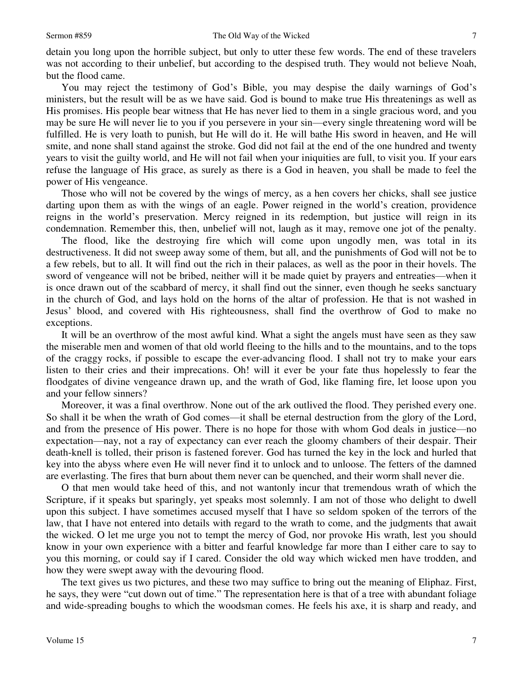detain you long upon the horrible subject, but only to utter these few words. The end of these travelers was not according to their unbelief, but according to the despised truth. They would not believe Noah, but the flood came.

 You may reject the testimony of God's Bible, you may despise the daily warnings of God's ministers, but the result will be as we have said. God is bound to make true His threatenings as well as His promises. His people bear witness that He has never lied to them in a single gracious word, and you may be sure He will never lie to you if you persevere in your sin—every single threatening word will be fulfilled. He is very loath to punish, but He will do it. He will bathe His sword in heaven, and He will smite, and none shall stand against the stroke. God did not fail at the end of the one hundred and twenty years to visit the guilty world, and He will not fail when your iniquities are full, to visit you. If your ears refuse the language of His grace, as surely as there is a God in heaven, you shall be made to feel the power of His vengeance.

 Those who will not be covered by the wings of mercy, as a hen covers her chicks, shall see justice darting upon them as with the wings of an eagle. Power reigned in the world's creation, providence reigns in the world's preservation. Mercy reigned in its redemption, but justice will reign in its condemnation. Remember this, then, unbelief will not, laugh as it may, remove one jot of the penalty.

 The flood, like the destroying fire which will come upon ungodly men, was total in its destructiveness. It did not sweep away some of them, but all, and the punishments of God will not be to a few rebels, but to all. It will find out the rich in their palaces, as well as the poor in their hovels. The sword of vengeance will not be bribed, neither will it be made quiet by prayers and entreaties—when it is once drawn out of the scabbard of mercy, it shall find out the sinner, even though he seeks sanctuary in the church of God, and lays hold on the horns of the altar of profession. He that is not washed in Jesus' blood, and covered with His righteousness, shall find the overthrow of God to make no exceptions.

 It will be an overthrow of the most awful kind. What a sight the angels must have seen as they saw the miserable men and women of that old world fleeing to the hills and to the mountains, and to the tops of the craggy rocks, if possible to escape the ever-advancing flood. I shall not try to make your ears listen to their cries and their imprecations. Oh! will it ever be your fate thus hopelessly to fear the floodgates of divine vengeance drawn up, and the wrath of God, like flaming fire, let loose upon you and your fellow sinners?

 Moreover, it was a final overthrow. None out of the ark outlived the flood. They perished every one. So shall it be when the wrath of God comes—it shall be eternal destruction from the glory of the Lord, and from the presence of His power. There is no hope for those with whom God deals in justice—no expectation—nay, not a ray of expectancy can ever reach the gloomy chambers of their despair. Their death-knell is tolled, their prison is fastened forever. God has turned the key in the lock and hurled that key into the abyss where even He will never find it to unlock and to unloose. The fetters of the damned are everlasting. The fires that burn about them never can be quenched, and their worm shall never die.

 O that men would take heed of this, and not wantonly incur that tremendous wrath of which the Scripture, if it speaks but sparingly, yet speaks most solemnly. I am not of those who delight to dwell upon this subject. I have sometimes accused myself that I have so seldom spoken of the terrors of the law, that I have not entered into details with regard to the wrath to come, and the judgments that await the wicked. O let me urge you not to tempt the mercy of God, nor provoke His wrath, lest you should know in your own experience with a bitter and fearful knowledge far more than I either care to say to you this morning, or could say if I cared. Consider the old way which wicked men have trodden, and how they were swept away with the devouring flood.

 The text gives us two pictures, and these two may suffice to bring out the meaning of Eliphaz. First, he says, they were "cut down out of time." The representation here is that of a tree with abundant foliage and wide-spreading boughs to which the woodsman comes. He feels his axe, it is sharp and ready, and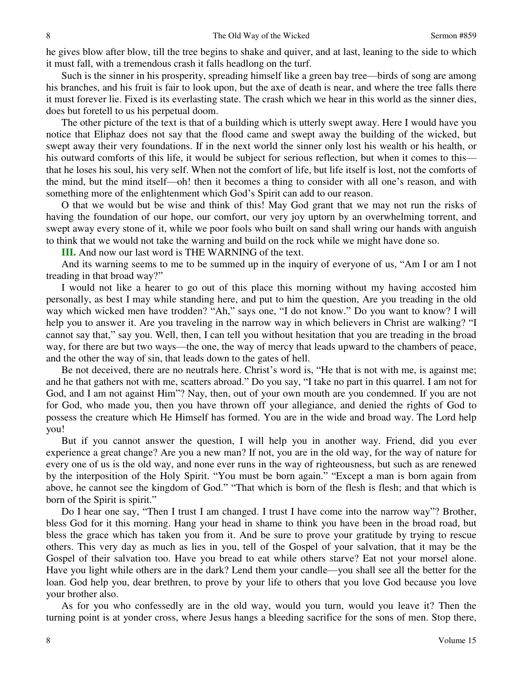he gives blow after blow, till the tree begins to shake and quiver, and at last, leaning to the side to which it must fall, with a tremendous crash it falls headlong on the turf.

 Such is the sinner in his prosperity, spreading himself like a green bay tree—birds of song are among his branches, and his fruit is fair to look upon, but the axe of death is near, and where the tree falls there it must forever lie. Fixed is its everlasting state. The crash which we hear in this world as the sinner dies, does but foretell to us his perpetual doom.

 The other picture of the text is that of a building which is utterly swept away. Here I would have you notice that Eliphaz does not say that the flood came and swept away the building of the wicked, but swept away their very foundations. If in the next world the sinner only lost his wealth or his health, or his outward comforts of this life, it would be subject for serious reflection, but when it comes to this that he loses his soul, his very self. When not the comfort of life, but life itself is lost, not the comforts of the mind, but the mind itself—oh! then it becomes a thing to consider with all one's reason, and with something more of the enlightenment which God's Spirit can add to our reason.

 O that we would but be wise and think of this! May God grant that we may not run the risks of having the foundation of our hope, our comfort, our very joy uptorn by an overwhelming torrent, and swept away every stone of it, while we poor fools who built on sand shall wring our hands with anguish to think that we would not take the warning and build on the rock while we might have done so.

**III.** And now our last word is THE WARNING of the text.

 And its warning seems to me to be summed up in the inquiry of everyone of us, "Am I or am I not treading in that broad way?"

 I would not like a hearer to go out of this place this morning without my having accosted him personally, as best I may while standing here, and put to him the question, Are you treading in the old way which wicked men have trodden? "Ah," says one, "I do not know." Do you want to know? I will help you to answer it. Are you traveling in the narrow way in which believers in Christ are walking? "I cannot say that," say you. Well, then, I can tell you without hesitation that you are treading in the broad way, for there are but two ways—the one, the way of mercy that leads upward to the chambers of peace, and the other the way of sin, that leads down to the gates of hell.

 Be not deceived, there are no neutrals here. Christ's word is, "He that is not with me, is against me; and he that gathers not with me, scatters abroad." Do you say, "I take no part in this quarrel. I am not for God, and I am not against Him"? Nay, then, out of your own mouth are you condemned. If you are not for God, who made you, then you have thrown off your allegiance, and denied the rights of God to possess the creature which He Himself has formed. You are in the wide and broad way. The Lord help you!

 But if you cannot answer the question, I will help you in another way. Friend, did you ever experience a great change? Are you a new man? If not, you are in the old way, for the way of nature for every one of us is the old way, and none ever runs in the way of righteousness, but such as are renewed by the interposition of the Holy Spirit. "You must be born again." "Except a man is born again from above, he cannot see the kingdom of God." "That which is born of the flesh is flesh; and that which is born of the Spirit is spirit."

 Do I hear one say, "Then I trust I am changed. I trust I have come into the narrow way"? Brother, bless God for it this morning. Hang your head in shame to think you have been in the broad road, but bless the grace which has taken you from it. And be sure to prove your gratitude by trying to rescue others. This very day as much as lies in you, tell of the Gospel of your salvation, that it may be the Gospel of their salvation too. Have you bread to eat while others starve? Eat not your morsel alone. Have you light while others are in the dark? Lend them your candle—you shall see all the better for the loan. God help you, dear brethren, to prove by your life to others that you love God because you love your brother also.

 As for you who confessedly are in the old way, would you turn, would you leave it? Then the turning point is at yonder cross, where Jesus hangs a bleeding sacrifice for the sons of men. Stop there,

8